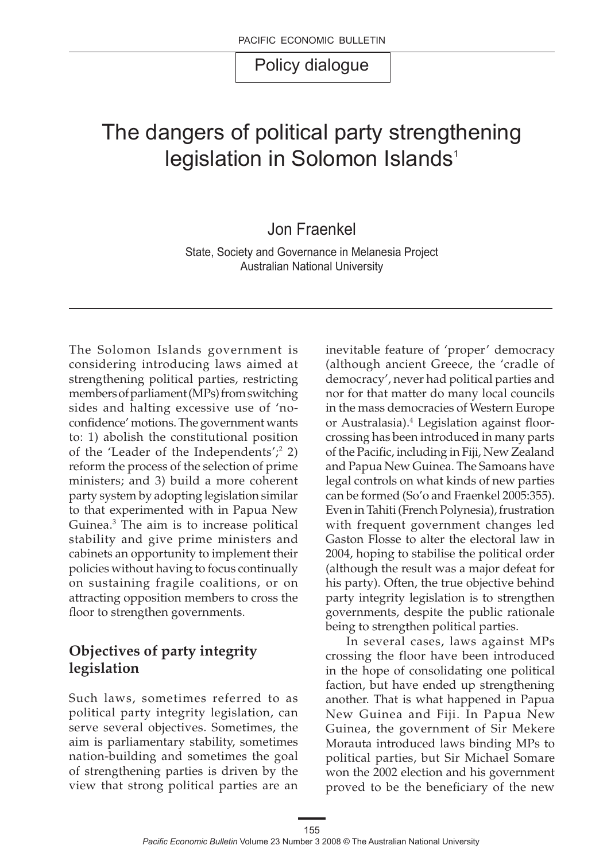# The dangers of political party strengthening legislation in Solomon Islands<sup>1</sup>

Jon Fraenkel

State, Society and Governance in Melanesia Project Australian National University

The Solomon Islands government is considering introducing laws aimed at strengthening political parties, restricting members of parliament (MPs) from switching sides and halting excessive use of 'noconfidence' motions. The government wants to: 1) abolish the constitutional position of the 'Leader of the Independents';2 2) reform the process of the selection of prime ministers; and 3) build a more coherent party system by adopting legislation similar to that experimented with in Papua New Guinea.3 The aim is to increase political stability and give prime ministers and cabinets an opportunity to implement their policies without having to focus continually on sustaining fragile coalitions, or on attracting opposition members to cross the floor to strengthen governments.

### **Objectives of party integrity legislation**

Such laws, sometimes referred to as political party integrity legislation, can serve several objectives. Sometimes, the aim is parliamentary stability, sometimes nation-building and sometimes the goal of strengthening parties is driven by the view that strong political parties are an inevitable feature of 'proper' democracy (although ancient Greece, the 'cradle of democracy', never had political parties and nor for that matter do many local councils in the mass democracies of Western Europe or Australasia).4 Legislation against floorcrossing has been introduced in many parts of the Pacific, including in Fiji, New Zealand and Papua New Guinea. The Samoans have legal controls on what kinds of new parties can be formed (So'o and Fraenkel 2005:355). Even in Tahiti (French Polynesia), frustration with frequent government changes led Gaston Flosse to alter the electoral law in 2004, hoping to stabilise the political order (although the result was a major defeat for his party). Often, the true objective behind party integrity legislation is to strengthen governments, despite the public rationale being to strengthen political parties.

In several cases, laws against MPs crossing the floor have been introduced in the hope of consolidating one political faction, but have ended up strengthening another. That is what happened in Papua New Guinea and Fiji. In Papua New Guinea, the government of Sir Mekere Morauta introduced laws binding MPs to political parties, but Sir Michael Somare won the 2002 election and his government proved to be the beneficiary of the new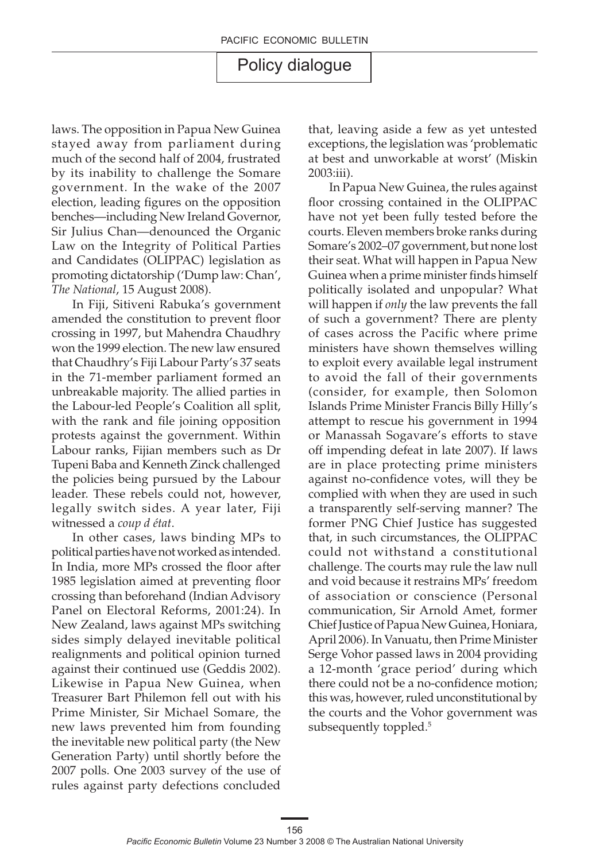laws. The opposition in Papua New Guinea stayed away from parliament during much of the second half of 2004, frustrated by its inability to challenge the Somare government. In the wake of the 2007 election, leading figures on the opposition benches—including New Ireland Governor, Sir Julius Chan—denounced the Organic Law on the Integrity of Political Parties and Candidates (OLIPPAC) legislation as promoting dictatorship ('Dump law: Chan', *The National*, 15 August 2008).

In Fiji, Sitiveni Rabuka's government amended the constitution to prevent floor crossing in 1997, but Mahendra Chaudhry won the 1999 election. The new law ensured that Chaudhry's Fiji Labour Party's 37 seats in the 71-member parliament formed an unbreakable majority. The allied parties in the Labour-led People's Coalition all split, with the rank and file joining opposition protests against the government. Within Labour ranks, Fijian members such as Dr Tupeni Baba and Kenneth Zinck challenged the policies being pursued by the Labour leader. These rebels could not, however, legally switch sides. A year later, Fiji witnessed a *coup d état*.

In other cases, laws binding MPs to political parties have not worked as intended. In India, more MPs crossed the floor after 1985 legislation aimed at preventing floor crossing than beforehand (Indian Advisory Panel on Electoral Reforms, 2001:24). In New Zealand, laws against MPs switching sides simply delayed inevitable political realignments and political opinion turned against their continued use (Geddis 2002). Likewise in Papua New Guinea, when Treasurer Bart Philemon fell out with his Prime Minister, Sir Michael Somare, the new laws prevented him from founding the inevitable new political party (the New Generation Party) until shortly before the 2007 polls. One 2003 survey of the use of rules against party defections concluded

that, leaving aside a few as yet untested exceptions, the legislation was 'problematic at best and unworkable at worst' (Miskin 2003:iii).

In Papua New Guinea, the rules against floor crossing contained in the OLIPPAC have not yet been fully tested before the courts. Eleven members broke ranks during Somare's 2002–07 government, but none lost their seat. What will happen in Papua New Guinea when a prime minister finds himself politically isolated and unpopular? What will happen if *only* the law prevents the fall of such a government? There are plenty of cases across the Pacific where prime ministers have shown themselves willing to exploit every available legal instrument to avoid the fall of their governments (consider, for example, then Solomon Islands Prime Minister Francis Billy Hilly's attempt to rescue his government in 1994 or Manassah Sogavare's efforts to stave off impending defeat in late 2007). If laws are in place protecting prime ministers against no-confidence votes, will they be complied with when they are used in such a transparently self-serving manner? The former PNG Chief Justice has suggested that, in such circumstances, the OLIPPAC could not withstand a constitutional challenge. The courts may rule the law null and void because it restrains MPs' freedom of association or conscience (Personal communication, Sir Arnold Amet, former Chief Justice of Papua New Guinea, Honiara, April 2006). In Vanuatu, then Prime Minister Serge Vohor passed laws in 2004 providing a 12-month 'grace period' during which there could not be a no-confidence motion; this was, however, ruled unconstitutional by the courts and the Vohor government was subsequently toppled.<sup>5</sup>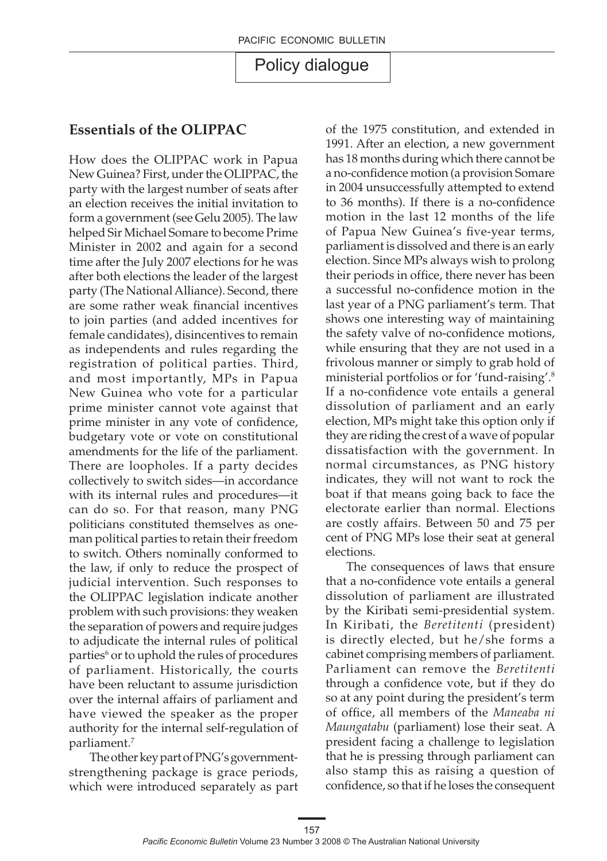#### **Essentials of the OLIPPAC**

How does the OLIPPAC work in Papua New Guinea? First, under the OLIPPAC, the party with the largest number of seats after an election receives the initial invitation to form a government (see Gelu 2005). The law helped Sir Michael Somare to become Prime Minister in 2002 and again for a second time after the July 2007 elections for he was after both elections the leader of the largest party (The National Alliance). Second, there are some rather weak financial incentives to join parties (and added incentives for female candidates), disincentives to remain as independents and rules regarding the registration of political parties. Third, and most importantly, MPs in Papua New Guinea who vote for a particular prime minister cannot vote against that prime minister in any vote of confidence, budgetary vote or vote on constitutional amendments for the life of the parliament. There are loopholes. If a party decides collectively to switch sides—in accordance with its internal rules and procedures—it can do so. For that reason, many PNG politicians constituted themselves as oneman political parties to retain their freedom to switch. Others nominally conformed to the law, if only to reduce the prospect of judicial intervention. Such responses to the OLIPPAC legislation indicate another problem with such provisions: they weaken the separation of powers and require judges to adjudicate the internal rules of political parties<sup>6</sup> or to uphold the rules of procedures of parliament. Historically, the courts have been reluctant to assume jurisdiction over the internal affairs of parliament and have viewed the speaker as the proper authority for the internal self-regulation of parliament.7

The other key part of PNG's governmentstrengthening package is grace periods, which were introduced separately as part of the 1975 constitution, and extended in 1991. After an election, a new government has 18 months during which there cannot be a no-confidence motion (a provision Somare in 2004 unsuccessfully attempted to extend to 36 months). If there is a no-confidence motion in the last 12 months of the life of Papua New Guinea's five-year terms, parliament is dissolved and there is an early election. Since MPs always wish to prolong their periods in office, there never has been a successful no-confidence motion in the last year of a PNG parliament's term. That shows one interesting way of maintaining the safety valve of no-confidence motions, while ensuring that they are not used in a frivolous manner or simply to grab hold of ministerial portfolios or for 'fund-raising'.8 If a no-confidence vote entails a general dissolution of parliament and an early election, MPs might take this option only if they are riding the crest of a wave of popular dissatisfaction with the government. In normal circumstances, as PNG history indicates, they will not want to rock the boat if that means going back to face the electorate earlier than normal. Elections are costly affairs. Between 50 and 75 per cent of PNG MPs lose their seat at general elections.

The consequences of laws that ensure that a no-confidence vote entails a general dissolution of parliament are illustrated by the Kiribati semi-presidential system. In Kiribati, the *Beretitenti* (president) is directly elected, but he/she forms a cabinet comprising members of parliament. Parliament can remove the *Beretitenti* through a confidence vote, but if they do so at any point during the president's term of office, all members of the *Maneaba ni Maungatabu* (parliament) lose their seat. A president facing a challenge to legislation that he is pressing through parliament can also stamp this as raising a question of confidence, so that if he loses the consequent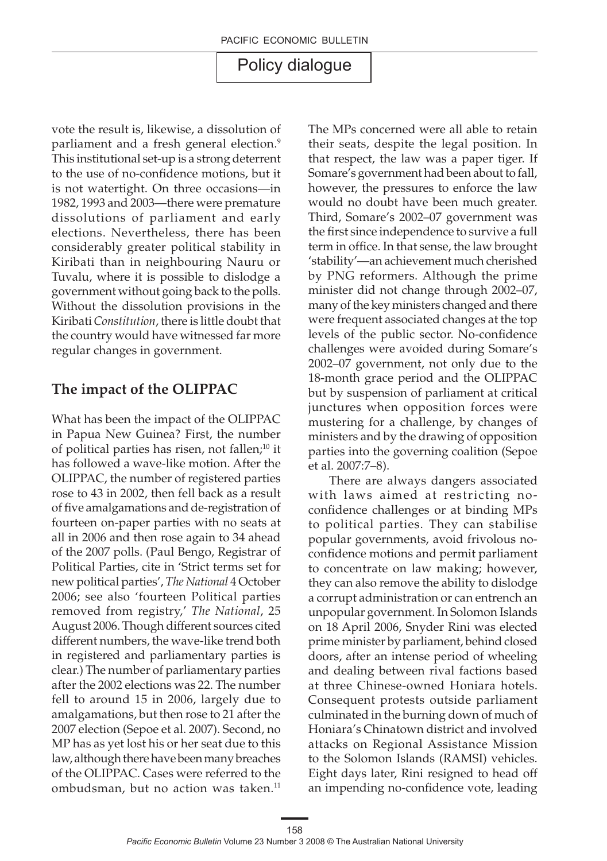vote the result is, likewise, a dissolution of parliament and a fresh general election.<sup>9</sup> This institutional set-up is a strong deterrent to the use of no-confidence motions, but it is not watertight. On three occasions—in 1982, 1993 and 2003—there were premature dissolutions of parliament and early elections. Nevertheless, there has been considerably greater political stability in Kiribati than in neighbouring Nauru or Tuvalu, where it is possible to dislodge a government without going back to the polls. Without the dissolution provisions in the Kiribati *Constitution*, there is little doubt that the country would have witnessed far more regular changes in government.

#### **The impact of the OLIPPAC**

What has been the impact of the OLIPPAC in Papua New Guinea? First, the number of political parties has risen, not fallen;<sup>10</sup> it has followed a wave-like motion. After the OLIPPAC, the number of registered parties rose to 43 in 2002, then fell back as a result of five amalgamations and de-registration of fourteen on-paper parties with no seats at all in 2006 and then rose again to 34 ahead of the 2007 polls. (Paul Bengo, Registrar of Political Parties, cite in 'Strict terms set for new political parties', *The National* 4 October 2006; see also 'fourteen Political parties removed from registry,' *The National*, 25 August 2006. Though different sources cited different numbers, the wave-like trend both in registered and parliamentary parties is clear.) The number of parliamentary parties after the 2002 elections was 22. The number fell to around 15 in 2006, largely due to amalgamations, but then rose to 21 after the 2007 election (Sepoe et al. 2007). Second, no MP has as yet lost his or her seat due to this law, although there have been many breaches of the OLIPPAC. Cases were referred to the ombudsman, but no action was taken.<sup>11</sup>

The MPs concerned were all able to retain their seats, despite the legal position. In that respect, the law was a paper tiger. If Somare's government had been about to fall, however, the pressures to enforce the law would no doubt have been much greater. Third, Somare's 2002–07 government was the first since independence to survive a full term in office. In that sense, the law brought 'stability'—an achievement much cherished by PNG reformers. Although the prime minister did not change through 2002–07, many of the key ministers changed and there were frequent associated changes at the top levels of the public sector. No-confidence challenges were avoided during Somare's 2002–07 government, not only due to the 18-month grace period and the OLIPPAC but by suspension of parliament at critical junctures when opposition forces were mustering for a challenge, by changes of ministers and by the drawing of opposition parties into the governing coalition (Sepoe et al. 2007:7–8).

There are always dangers associated with laws aimed at restricting noconfidence challenges or at binding MPs to political parties. They can stabilise popular governments, avoid frivolous noconfidence motions and permit parliament to concentrate on law making; however, they can also remove the ability to dislodge a corrupt administration or can entrench an unpopular government. In Solomon Islands on 18 April 2006, Snyder Rini was elected prime minister by parliament, behind closed doors, after an intense period of wheeling and dealing between rival factions based at three Chinese-owned Honiara hotels. Consequent protests outside parliament culminated in the burning down of much of Honiara's Chinatown district and involved attacks on Regional Assistance Mission to the Solomon Islands (RAMSI) vehicles. Eight days later, Rini resigned to head off an impending no-confidence vote, leading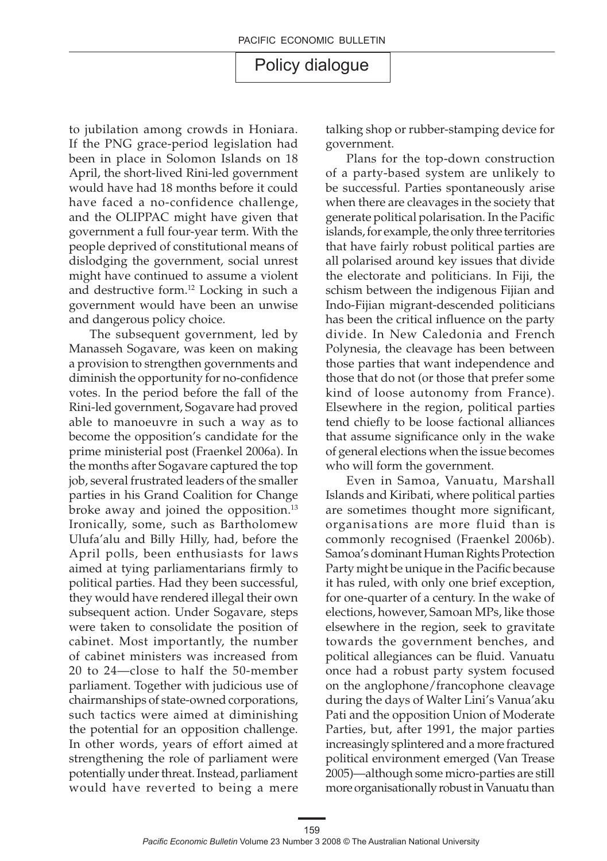to jubilation among crowds in Honiara. If the PNG grace-period legislation had been in place in Solomon Islands on 18 April, the short-lived Rini-led government would have had 18 months before it could have faced a no-confidence challenge, and the OLIPPAC might have given that government a full four-year term. With the people deprived of constitutional means of dislodging the government, social unrest might have continued to assume a violent and destructive form.12 Locking in such a government would have been an unwise and dangerous policy choice.

The subsequent government, led by Manasseh Sogavare, was keen on making a provision to strengthen governments and diminish the opportunity for no-confidence votes. In the period before the fall of the Rini-led government, Sogavare had proved able to manoeuvre in such a way as to become the opposition's candidate for the prime ministerial post (Fraenkel 2006a). In the months after Sogavare captured the top job, several frustrated leaders of the smaller parties in his Grand Coalition for Change broke away and joined the opposition.<sup>13</sup> Ironically, some, such as Bartholomew Ulufa'alu and Billy Hilly, had, before the April polls, been enthusiasts for laws aimed at tying parliamentarians firmly to political parties. Had they been successful, they would have rendered illegal their own subsequent action. Under Sogavare, steps were taken to consolidate the position of cabinet. Most importantly, the number of cabinet ministers was increased from 20 to 24—close to half the 50-member parliament. Together with judicious use of chairmanships of state-owned corporations, such tactics were aimed at diminishing the potential for an opposition challenge. In other words, years of effort aimed at strengthening the role of parliament were potentially under threat. Instead, parliament would have reverted to being a mere talking shop or rubber-stamping device for government.

Plans for the top-down construction of a party-based system are unlikely to be successful. Parties spontaneously arise when there are cleavages in the society that generate political polarisation. In the Pacific islands, for example, the only three territories that have fairly robust political parties are all polarised around key issues that divide the electorate and politicians. In Fiji, the schism between the indigenous Fijian and Indo-Fijian migrant-descended politicians has been the critical influence on the party divide. In New Caledonia and French Polynesia, the cleavage has been between those parties that want independence and those that do not (or those that prefer some kind of loose autonomy from France). Elsewhere in the region, political parties tend chiefly to be loose factional alliances that assume significance only in the wake of general elections when the issue becomes who will form the government.

Even in Samoa, Vanuatu, Marshall Islands and Kiribati, where political parties are sometimes thought more significant, organisations are more fluid than is commonly recognised (Fraenkel 2006b). Samoa's dominant Human Rights Protection Party might be unique in the Pacific because it has ruled, with only one brief exception, for one-quarter of a century. In the wake of elections, however, Samoan MPs, like those elsewhere in the region, seek to gravitate towards the government benches, and political allegiances can be fluid. Vanuatu once had a robust party system focused on the anglophone/francophone cleavage during the days of Walter Lini's Vanua'aku Pati and the opposition Union of Moderate Parties, but, after 1991, the major parties increasingly splintered and a more fractured political environment emerged (Van Trease 2005)—although some micro-parties are still more organisationally robust in Vanuatu than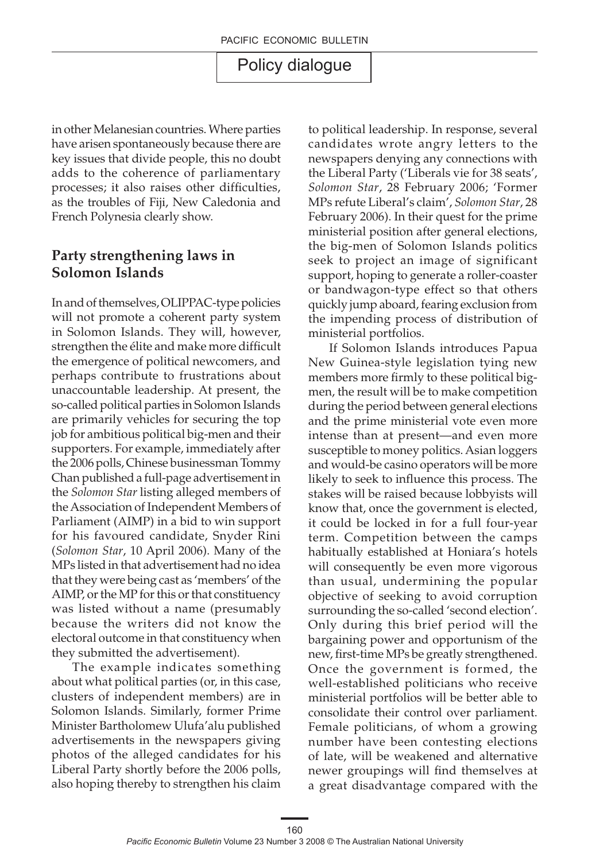in other Melanesian countries. Where parties have arisen spontaneously because there are key issues that divide people, this no doubt adds to the coherence of parliamentary processes; it also raises other difficulties, as the troubles of Fiji, New Caledonia and French Polynesia clearly show.

#### **Party strengthening laws in Solomon Islands**

In and of themselves, OLIPPAC-type policies will not promote a coherent party system in Solomon Islands. They will, however, strengthen the élite and make more difficult the emergence of political newcomers, and perhaps contribute to frustrations about unaccountable leadership. At present, the so-called political parties in Solomon Islands are primarily vehicles for securing the top job for ambitious political big-men and their supporters. For example, immediately after the 2006 polls, Chinese businessman Tommy Chan published a full-page advertisement in the *Solomon Star* listing alleged members of the Association of Independent Members of Parliament (AIMP) in a bid to win support for his favoured candidate, Snyder Rini (*Solomon Star*, 10 April 2006). Many of the MPs listed in that advertisement had no idea that they were being cast as 'members' of the AIMP, or the MP for this or that constituency was listed without a name (presumably because the writers did not know the electoral outcome in that constituency when they submitted the advertisement).

The example indicates something about what political parties (or, in this case, clusters of independent members) are in Solomon Islands. Similarly, former Prime Minister Bartholomew Ulufa'alu published advertisements in the newspapers giving photos of the alleged candidates for his Liberal Party shortly before the 2006 polls, also hoping thereby to strengthen his claim

to political leadership. In response, several candidates wrote angry letters to the newspapers denying any connections with the Liberal Party ('Liberals vie for 38 seats', *Solomon Star*, 28 February 2006; 'Former MPs refute Liberal's claim', *Solomon Star*, 28 February 2006). In their quest for the prime ministerial position after general elections, the big-men of Solomon Islands politics seek to project an image of significant support, hoping to generate a roller-coaster or bandwagon-type effect so that others quickly jump aboard, fearing exclusion from the impending process of distribution of ministerial portfolios.

If Solomon Islands introduces Papua New Guinea-style legislation tying new members more firmly to these political bigmen, the result will be to make competition during the period between general elections and the prime ministerial vote even more intense than at present—and even more susceptible to money politics. Asian loggers and would-be casino operators will be more likely to seek to influence this process. The stakes will be raised because lobbyists will know that, once the government is elected, it could be locked in for a full four-year term. Competition between the camps habitually established at Honiara's hotels will consequently be even more vigorous than usual, undermining the popular objective of seeking to avoid corruption surrounding the so-called 'second election'. Only during this brief period will the bargaining power and opportunism of the new, first-time MPs be greatly strengthened. Once the government is formed, the well-established politicians who receive ministerial portfolios will be better able to consolidate their control over parliament. Female politicians, of whom a growing number have been contesting elections of late, will be weakened and alternative newer groupings will find themselves at a great disadvantage compared with the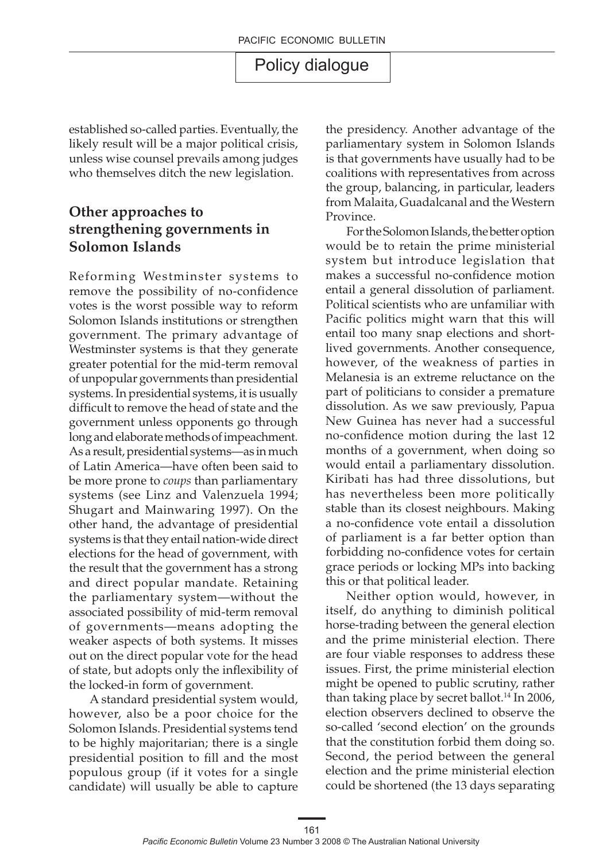established so-called parties. Eventually, the likely result will be a major political crisis, unless wise counsel prevails among judges who themselves ditch the new legislation.

### **Other approaches to strengthening governments in Solomon Islands**

Reforming Westminster systems to remove the possibility of no-confidence votes is the worst possible way to reform Solomon Islands institutions or strengthen government. The primary advantage of Westminster systems is that they generate greater potential for the mid-term removal of unpopular governments than presidential systems. In presidential systems, it is usually difficult to remove the head of state and the government unless opponents go through long and elaborate methods of impeachment. As a result, presidential systems—as in much of Latin America—have often been said to be more prone to *coups* than parliamentary systems (see Linz and Valenzuela 1994; Shugart and Mainwaring 1997). On the other hand, the advantage of presidential systems is that they entail nation-wide direct elections for the head of government, with the result that the government has a strong and direct popular mandate. Retaining the parliamentary system—without the associated possibility of mid-term removal of governments—means adopting the weaker aspects of both systems. It misses out on the direct popular vote for the head of state, but adopts only the inflexibility of the locked-in form of government.

A standard presidential system would, however, also be a poor choice for the Solomon Islands. Presidential systems tend to be highly majoritarian; there is a single presidential position to fill and the most populous group (if it votes for a single candidate) will usually be able to capture the presidency. Another advantage of the parliamentary system in Solomon Islands is that governments have usually had to be coalitions with representatives from across the group, balancing, in particular, leaders from Malaita, Guadalcanal and the Western Province.

For the Solomon Islands, the better option would be to retain the prime ministerial system but introduce legislation that makes a successful no-confidence motion entail a general dissolution of parliament. Political scientists who are unfamiliar with Pacific politics might warn that this will entail too many snap elections and shortlived governments. Another consequence, however, of the weakness of parties in Melanesia is an extreme reluctance on the part of politicians to consider a premature dissolution. As we saw previously, Papua New Guinea has never had a successful no-confidence motion during the last 12 months of a government, when doing so would entail a parliamentary dissolution. Kiribati has had three dissolutions, but has nevertheless been more politically stable than its closest neighbours. Making a no-confidence vote entail a dissolution of parliament is a far better option than forbidding no-confidence votes for certain grace periods or locking MPs into backing this or that political leader.

Neither option would, however, in itself, do anything to diminish political horse-trading between the general election and the prime ministerial election. There are four viable responses to address these issues. First, the prime ministerial election might be opened to public scrutiny, rather than taking place by secret ballot.<sup>14</sup> In 2006, election observers declined to observe the so-called 'second election' on the grounds that the constitution forbid them doing so. Second, the period between the general election and the prime ministerial election could be shortened (the 13 days separating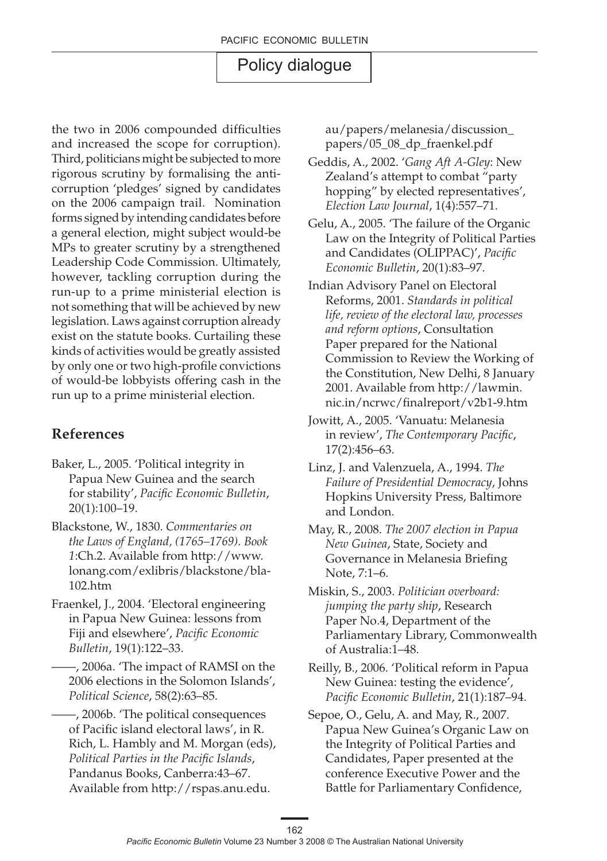the two in 2006 compounded difficulties and increased the scope for corruption). Third, politicians might be subjected to more rigorous scrutiny by formalising the anticorruption 'pledges' signed by candidates on the 2006 campaign trail. Nomination forms signed by intending candidates before a general election, might subject would-be MPs to greater scrutiny by a strengthened Leadership Code Commission. Ultimately, however, tackling corruption during the run-up to a prime ministerial election is not something that will be achieved by new legislation. Laws against corruption already exist on the statute books. Curtailing these kinds of activities would be greatly assisted by only one or two high-profile convictions of would-be lobbyists offering cash in the run up to a prime ministerial election.

### **References**

- Baker, L., 2005. 'Political integrity in Papua New Guinea and the search for stability', *Pacific Economic Bulletin*, 20(1):100–19.
- Blackstone, W., 1830. *Commentaries on the Laws of England, (1765–1769). Book 1*:Ch.2. Available from http://www. lonang.com/exlibris/blackstone/bla-102.htm
- Fraenkel, J., 2004. 'Electoral engineering in Papua New Guinea: lessons from Fiji and elsewhere', *Pacific Economic Bulletin*, 19(1):122–33.
	- ——, 2006a. 'The impact of RAMSI on the 2006 elections in the Solomon Islands', *Political Science*, 58(2):63–85.

——, 2006b. 'The political consequences of Pacific island electoral laws', in R. Rich, L. Hambly and M. Morgan (eds), *Political Parties in the Pacific Islands*, Pandanus Books, Canberra:43–67. Available from http://rspas.anu.edu.

au/papers/melanesia/discussion\_ papers/05\_08\_dp\_fraenkel.pdf

- Geddis, A., 2002. '*Gang Aft A-Gley*: New Zealand's attempt to combat "party hopping" by elected representatives', *Election Law Journal*, 1(4):557–71.
- Gelu, A., 2005. 'The failure of the Organic Law on the Integrity of Political Parties and Candidates (OLIPPAC)', *Pacific Economic Bulletin*, 20(1):83–97.
- Indian Advisory Panel on Electoral Reforms, 2001. *Standards in political life, review of the electoral law, processes and reform options*, Consultation Paper prepared for the National Commission to Review the Working of the Constitution, New Delhi, 8 January 2001. Available from http://lawmin. nic.in/ncrwc/finalreport/v2b1-9.htm
- Jowitt, A., 2005. 'Vanuatu: Melanesia in review', *The Contemporary Pacific*, 17(2):456–63.
- Linz, J. and Valenzuela, A., 1994. *The Failure of Presidential Democracy*, Johns Hopkins University Press, Baltimore and London.
- May, R., 2008. *The 2007 election in Papua New Guinea*, State, Society and Governance in Melanesia Briefing Note, 7:1–6.
- Miskin, S., 2003. *Politician overboard: jumping the party ship*, Research Paper No.4, Department of the Parliamentary Library, Commonwealth of Australia:1–48.
- Reilly, B., 2006. 'Political reform in Papua New Guinea: testing the evidence', *Pacific Economic Bulletin*, 21(1):187–94.
- Sepoe, O., Gelu, A. and May, R., 2007. Papua New Guinea's Organic Law on the Integrity of Political Parties and Candidates, Paper presented at the conference Executive Power and the Battle for Parliamentary Confidence,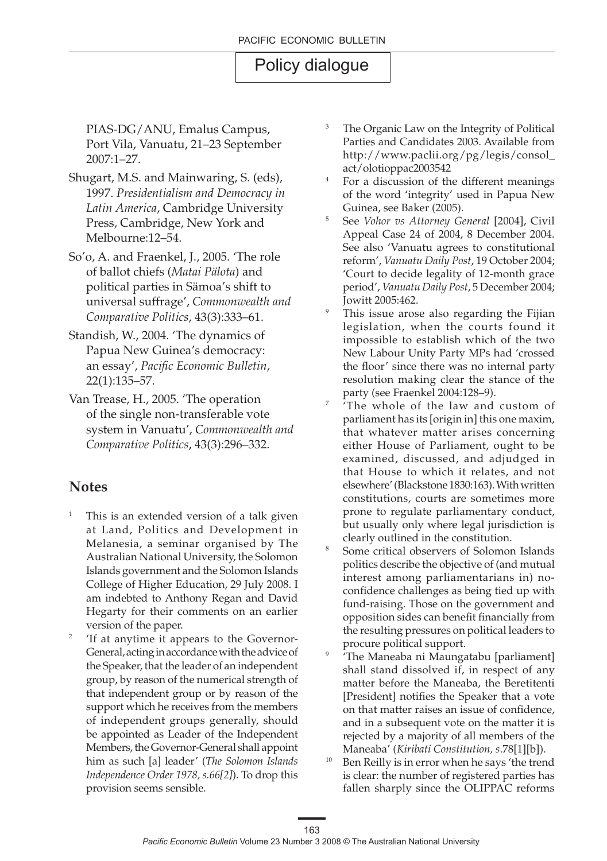PIAS-DG/ANU, Emalus Campus, Port Vila, Vanuatu, 21–23 September 2007:1–27.

- Shugart, M.S. and Mainwaring, S. (eds), 1997. *Presidentialism and Democracy in Latin America*, Cambridge University Press, Cambridge, New York and Melbourne:12–54.
- So'o, A. and Fraenkel, J., 2005. 'The role of ballot chiefs (*Matai Pälota*) and political parties in Sämoa's shift to universal suffrage', *Commonwealth and Comparative Politics*, 43(3):333–61.
- Standish, W., 2004. 'The dynamics of Papua New Guinea's democracy: an essay', *Pacific Economic Bulletin*, 22(1):135–57.
- Van Trease, H., 2005. 'The operation of the single non-transferable vote system in Vanuatu', *Commonwealth and Comparative Politics*, 43(3):296–332.

#### **Notes**

- This is an extended version of a talk given at Land, Politics and Development in Melanesia, a seminar organised by The Australian National University, the Solomon Islands government and the Solomon Islands College of Higher Education, 29 July 2008. I am indebted to Anthony Regan and David Hegarty for their comments on an earlier version of the paper.
- <sup>2</sup> 'If at anytime it appears to the Governor-General, acting in accordance with the advice of the Speaker, that the leader of an independent group, by reason of the numerical strength of that independent group or by reason of the support which he receives from the members of independent groups generally, should be appointed as Leader of the Independent Members, the Governor-General shall appoint him as such [a] leader' (*The Solomon Islands Independence Order 1978, s.66[2]*). To drop this provision seems sensible.
- <sup>3</sup> The Organic Law on the Integrity of Political Parties and Candidates 2003. Available from http://www.paclii.org/pg/legis/consol\_ act/olotioppac2003542
- <sup>4</sup> For a discussion of the different meanings of the word 'integrity' used in Papua New Guinea, see Baker (2005).
- <sup>5</sup> See *Vohor vs Attorney General* [2004], Civil Appeal Case 24 of 2004, 8 December 2004. See also 'Vanuatu agrees to constitutional reform', *Vanuatu Daily Post*, 19 October 2004; 'Court to decide legality of 12-month grace period', *Vanuatu Daily Post*, 5 December 2004;
- Jowitt 2005:462.<br>This issue arose also regarding the Fijian legislation, when the courts found it impossible to establish which of the two New Labour Unity Party MPs had 'crossed the floor' since there was no internal party resolution making clear the stance of the party (see Fraenkel 2004:128–9).
- <sup>7</sup> 'The whole of the law and custom of parliament has its [origin in] this one maxim, that whatever matter arises concerning either House of Parliament, ought to be examined, discussed, and adjudged in that House to which it relates, and not elsewhere' (Blackstone 1830:163). With written constitutions, courts are sometimes more prone to regulate parliamentary conduct, but usually only where legal jurisdiction is clearly outlined in the constitution.
- <sup>8</sup> Some critical observers of Solomon Islands politics describe the objective of (and mutual interest among parliamentarians in) noconfidence challenges as being tied up with fund-raising. Those on the government and opposition sides can benefit financially from the resulting pressures on political leaders to procure political support.
- 'The Maneaba ni Maungatabu [parliament] shall stand dissolved if, in respect of any matter before the Maneaba, the Beretitenti [President] notifies the Speaker that a vote on that matter raises an issue of confidence, and in a subsequent vote on the matter it is rejected by a majority of all members of the Maneaba' (*Kiribati Constitution, s*.78[1][b]).
- <sup>10</sup> Ben Reilly is in error when he says 'the trend is clear: the number of registered parties has fallen sharply since the OLIPPAC reforms